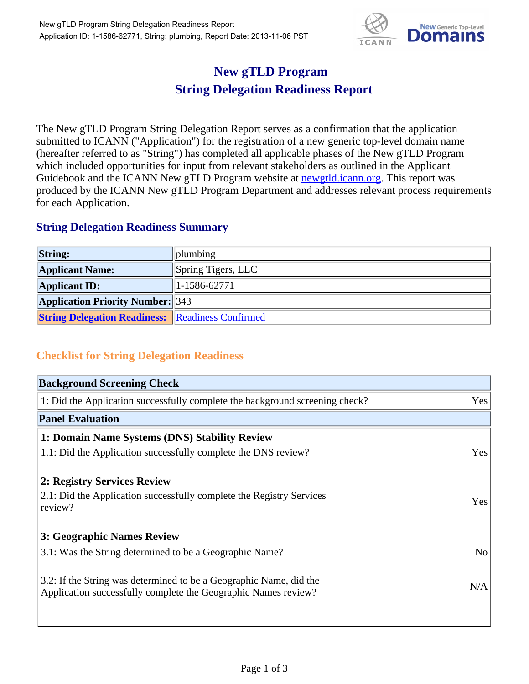

## **New gTLD Program String Delegation Readiness Report**

The New gTLD Program String Delegation Report serves as a confirmation that the application submitted to ICANN ("Application") for the registration of a new generic top-level domain name (hereafter referred to as "String") has completed all applicable phases of the New gTLD Program which included opportunities for input from relevant stakeholders as outlined in the Applicant Guidebook and the ICANN New gTLD Program website at **newgtld.jcann.org**. This report was produced by the ICANN New gTLD Program Department and addresses relevant process requirements for each Application.

## **String Delegation Readiness Summary**

| <b>String:</b>                                          | $\ $ plumbing      |
|---------------------------------------------------------|--------------------|
| <b>Applicant Name:</b>                                  | Spring Tigers, LLC |
| <b>Applicant ID:</b>                                    | $1-1586-62771$     |
| <b>Application Priority Number: 343</b>                 |                    |
| <b>String Delegation Readiness: Readiness Confirmed</b> |                    |

## **Checklist for String Delegation Readiness**

| <b>Background Screening Check</b>                                                                                                    |                |
|--------------------------------------------------------------------------------------------------------------------------------------|----------------|
| 1: Did the Application successfully complete the background screening check?                                                         | Yes            |
| <b>Panel Evaluation</b>                                                                                                              |                |
| 1: Domain Name Systems (DNS) Stability Review                                                                                        |                |
| 1.1: Did the Application successfully complete the DNS review?                                                                       | Yes            |
| 2: Registry Services Review<br>2.1: Did the Application successfully complete the Registry Services<br>review?                       | Yes            |
| 3: Geographic Names Review                                                                                                           |                |
| 3.1: Was the String determined to be a Geographic Name?                                                                              | N <sub>o</sub> |
| 3.2: If the String was determined to be a Geographic Name, did the<br>Application successfully complete the Geographic Names review? | N/A            |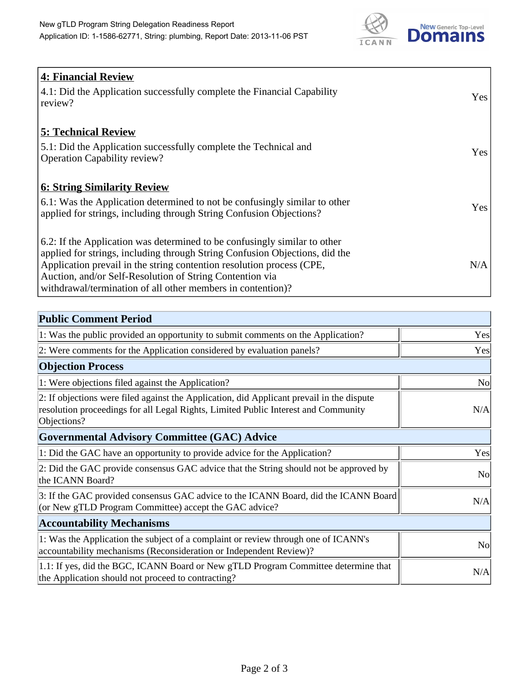

| <b>4: Financial Review</b><br>4.1: Did the Application successfully complete the Financial Capability<br>review?                                                                                                                                                                                                                                             | Yes |
|--------------------------------------------------------------------------------------------------------------------------------------------------------------------------------------------------------------------------------------------------------------------------------------------------------------------------------------------------------------|-----|
| <b>5: Technical Review</b><br>5.1: Did the Application successfully complete the Technical and<br><b>Operation Capability review?</b>                                                                                                                                                                                                                        | Yes |
| <b>6: String Similarity Review</b><br>6.1: Was the Application determined to not be confusingly similar to other<br>applied for strings, including through String Confusion Objections?                                                                                                                                                                      | Yes |
| 6.2: If the Application was determined to be confusingly similar to other<br>applied for strings, including through String Confusion Objections, did the<br>Application prevail in the string contention resolution process (CPE,<br>Auction, and/or Self-Resolution of String Contention via<br>withdrawal/termination of all other members in contention)? | N/A |

| <b>Public Comment Period</b>                                                                                                                                                                   |                |
|------------------------------------------------------------------------------------------------------------------------------------------------------------------------------------------------|----------------|
| 1: Was the public provided an opportunity to submit comments on the Application?                                                                                                               | Yes            |
| 2: Were comments for the Application considered by evaluation panels?                                                                                                                          | Yes            |
| <b>Objection Process</b>                                                                                                                                                                       |                |
| 1: Were objections filed against the Application?                                                                                                                                              | N <sub>o</sub> |
| 2: If objections were filed against the Application, did Applicant prevail in the dispute<br>resolution proceedings for all Legal Rights, Limited Public Interest and Community<br>Objections? | N/A            |
| <b>Governmental Advisory Committee (GAC) Advice</b>                                                                                                                                            |                |
| 1: Did the GAC have an opportunity to provide advice for the Application?                                                                                                                      | Yes            |
| 2: Did the GAC provide consensus GAC advice that the String should not be approved by<br>the ICANN Board?                                                                                      | N <sub>o</sub> |
| 3: If the GAC provided consensus GAC advice to the ICANN Board, did the ICANN Board<br>(or New gTLD Program Committee) accept the GAC advice?                                                  | N/A            |
| <b>Accountability Mechanisms</b>                                                                                                                                                               |                |
| 1: Was the Application the subject of a complaint or review through one of ICANN's<br>accountability mechanisms (Reconsideration or Independent Review)?                                       | <b>No</b>      |
| 1.1: If yes, did the BGC, ICANN Board or New gTLD Program Committee determine that<br>the Application should not proceed to contracting?                                                       | N/A            |